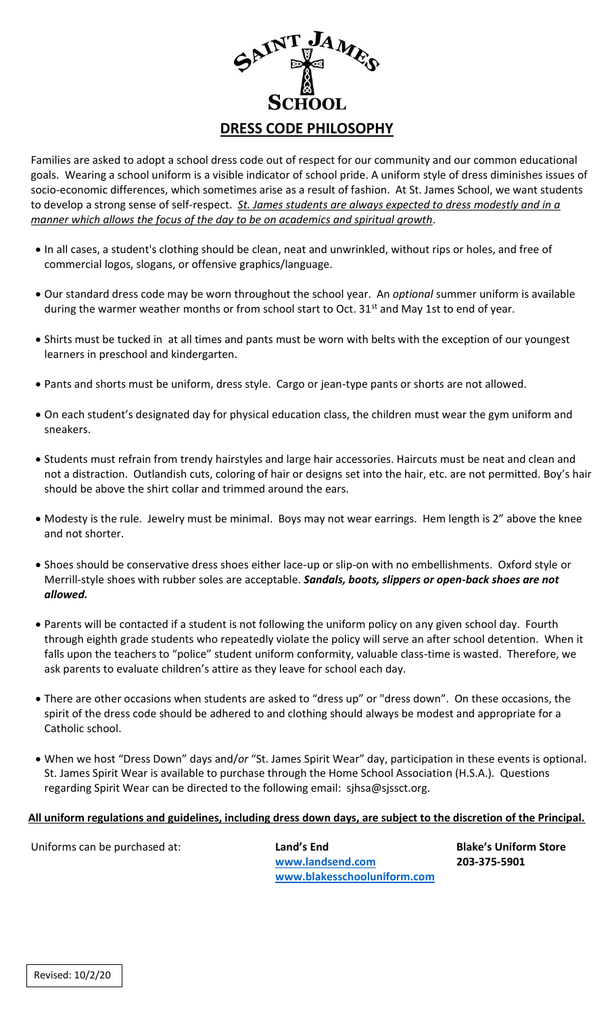

Families are asked to adopt a school dress code out of respect for our community and our common educational goals. Wearing a school uniform is a visible indicator of school pride. A uniform style of dress diminishes issues of socio-economic differences, which sometimes arise as a result of fashion. At St. James School, we want students to develop a strong sense of self-respect. *St. James students are always expected to dress modestly and in a manner which allows the focus of the day to be on academics and spiritual growth*.

- In all cases, a student's clothing should be clean, neat and unwrinkled, without rips or holes, and free of commercial logos, slogans, or offensive graphics/language.
- Our standard dress code may be worn throughout the school year. An *optional* summer uniform is available during the warmer weather months or from school start to Oct. 31<sup>st</sup> and May 1st to end of year.
- Shirts must be tucked in at all times and pants must be worn with belts with the exception of our youngest learners in preschool and kindergarten.
- Pants and shorts must be uniform, dress style. Cargo or jean-type pants or shorts are not allowed.
- On each student's designated day for physical education class, the children must wear the gym uniform and sneakers.
- Students must refrain from trendy hairstyles and large hair accessories. Haircuts must be neat and clean and not a distraction. Outlandish cuts, coloring of hair or designs set into the hair, etc. are not permitted. Boy's hair should be above the shirt collar and trimmed around the ears.
- Modesty is the rule. Jewelry must be minimal. Boys may not wear earrings. Hem length is 2" above the knee and not shorter.
- Shoes should be conservative dress shoes either lace-up or slip-on with no embellishments. Oxford style or Merrill-style shoes with rubber soles are acceptable. *Sandals, boots, slippers or open-back shoes are not allowed.*
- Parents will be contacted if a student is not following the uniform policy on any given school day. Fourth through eighth grade students who repeatedly violate the policy will serve an after school detention. When it falls upon the teachers to "police" student uniform conformity, valuable class-time is wasted. Therefore, we ask parents to evaluate children's attire as they leave for school each day.
- There are other occasions when students are asked to "dress up" or "dress down". On these occasions, the spirit of the dress code should be adhered to and clothing should always be modest and appropriate for a Catholic school.
- When we host "Dress Down" days and/*or* "St. James Spirit Wear" day, participation in these events is optional. St. James Spirit Wear is available to purchase through the Home School Association (H.S.A.). Questions regarding Spirit Wear can be directed to the following email: sjhsa@sjssct.org.

## **All uniform regulations and guidelines, including dress down days, are subject to the discretion of the Principal.**

Uniforms can be purchased at: **Land's End Blake's Uniform Store [www.landsend.com](http://www.landsend.com/) 203-375-5901 [www.blakesschooluniform.com](http://www.blakesschooluniform.com/)**